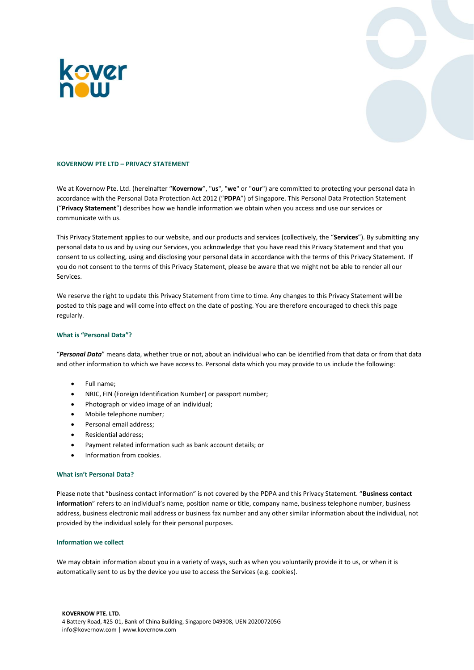



# **KOVERNOW PTE LTD – PRIVACY STATEMENT**

We at Kovernow Pte. Ltd. (hereinafter "**Kovernow**", "**us**", "**we**" or "**our**") are committed to protecting your personal data in accordance with the Personal Data Protection Act 2012 ("**PDPA**") of Singapore. This Personal Data Protection Statement ("**Privacy Statement**") describes how we handle information we obtain when you access and use our services or communicate with us.

This Privacy Statement applies to our website, and our products and services (collectively, the "**Services**"). By submitting any personal data to us and by using our Services, you acknowledge that you have read this Privacy Statement and that you consent to us collecting, using and disclosing your personal data in accordance with the terms of this Privacy Statement. If you do not consent to the terms of this Privacy Statement, please be aware that we might not be able to render all our Services.

We reserve the right to update this Privacy Statement from time to time. Any changes to this Privacy Statement will be posted to this page and will come into effect on the date of posting. You are therefore encouraged to check this page regularly.

### **What is "Personal Data"?**

"*Personal Data*" means data, whether true or not, about an individual who can be identified from that data or from that data and other information to which we have access to. Personal data which you may provide to us include the following:

- Full name;
- NRIC, FIN (Foreign Identification Number) or passport number;
- Photograph or video image of an individual;
- Mobile telephone number;
- Personal email address;
- Residential address;
- Payment related information such as bank account details; or
- Information from cookies.

# **What isn't Personal Data?**

Please note that "business contact information" is not covered by the PDPA and this Privacy Statement. "**Business contact information**" refers to an individual's name, position name or title, company name, business telephone number, business address, business electronic mail address or business fax number and any other similar information about the individual, not provided by the individual solely for their personal purposes.

#### **Information we collect**

We may obtain information about you in a variety of ways, such as when you voluntarily provide it to us, or when it is automatically sent to us by the device you use to access the Services (e.g. cookies).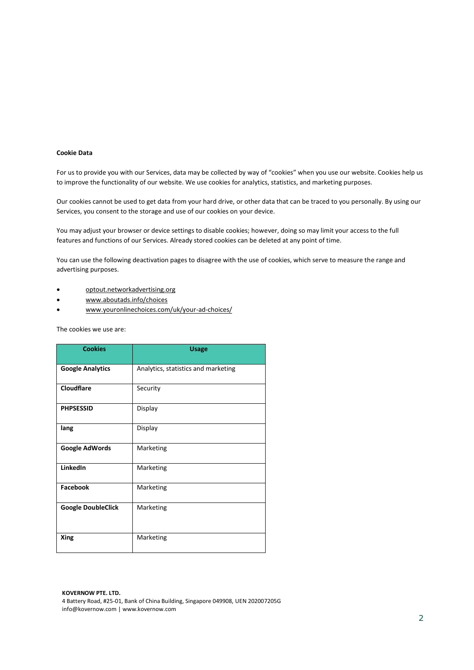# **Cookie Data**

For us to provide you with our Services, data may be collected by way of "cookies" when you use our website. Cookies help us to improve the functionality of our website. We use cookies for analytics, statistics, and marketing purposes.

Our cookies cannot be used to get data from your hard drive, or other data that can be traced to you personally. By using our Services, you consent to the storage and use of our cookies on your device.

You may adjust your browser or device settings to disable cookies; however, doing so may limit your access to the full features and functions of our Services. Already stored cookies can be deleted at any point of time.

You can use the following deactivation pages to disagree with the use of cookies, which serve to measure the range and advertising purposes.

- [optout.networkadvertising.org](http://optout.networkadvertising.org/)
- [www.aboutads.info/choices](http://www.aboutads.info/choices)
- [www.youronlinechoices.com/uk/your-ad-choices/](http://www.youronlinechoices.com/uk/your-ad-choices/)

The cookies we use are:

| <b>Cookies</b>            | <b>Usage</b>                        |
|---------------------------|-------------------------------------|
| <b>Google Analytics</b>   | Analytics, statistics and marketing |
| <b>Cloudflare</b>         | Security                            |
| <b>PHPSESSID</b>          | Display                             |
| lang                      | Display                             |
| Google AdWords            | Marketing                           |
| LinkedIn                  | Marketing                           |
| <b>Facebook</b>           | Marketing                           |
| <b>Google DoubleClick</b> | Marketing                           |
| Xing                      | Marketing                           |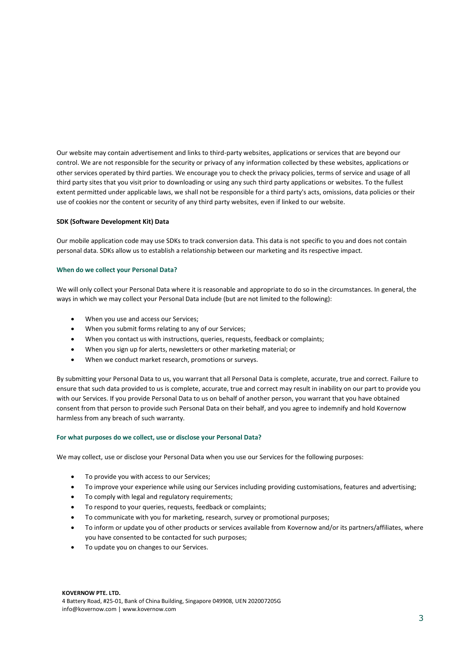Our website may contain advertisement and links to third-party websites, applications or services that are beyond our control. We are not responsible for the security or privacy of any information collected by these websites, applications or other services operated by third parties. We encourage you to check the privacy policies, terms of service and usage of all third party sites that you visit prior to downloading or using any such third party applications or websites. To the fullest extent permitted under applicable laws, we shall not be responsible for a third party's acts, omissions, data policies or their use of cookies nor the content or security of any third party websites, even if linked to our website.

### **SDK (Software Development Kit) Data**

Our mobile application code may use SDKs to track conversion data. This data is not specific to you and does not contain personal data. SDKs allow us to establish a relationship between our marketing and its respective impact.

### **When do we collect your Personal Data?**

We will only collect your Personal Data where it is reasonable and appropriate to do so in the circumstances. In general, the ways in which we may collect your Personal Data include (but are not limited to the following):

- When you use and access our Services;
- When you submit forms relating to any of our Services;
- When you contact us with instructions, queries, requests, feedback or complaints;
- When you sign up for alerts, newsletters or other marketing material; or
- When we conduct market research, promotions or surveys.

By submitting your Personal Data to us, you warrant that all Personal Data is complete, accurate, true and correct. Failure to ensure that such data provided to us is complete, accurate, true and correct may result in inability on our part to provide you with our Services. If you provide Personal Data to us on behalf of another person, you warrant that you have obtained consent from that person to provide such Personal Data on their behalf, and you agree to indemnify and hold Kovernow harmless from any breach of such warranty.

#### **For what purposes do we collect, use or disclose your Personal Data?**

We may collect, use or disclose your Personal Data when you use our Services for the following purposes:

- To provide you with access to our Services;
- To improve your experience while using our Services including providing customisations, features and advertising;
- To comply with legal and regulatory requirements;
- To respond to your queries, requests, feedback or complaints;
- To communicate with you for marketing, research, survey or promotional purposes;
- To inform or update you of other products or services available from Kovernow and/or its partners/affiliates, where you have consented to be contacted for such purposes;
- To update you on changes to our Services.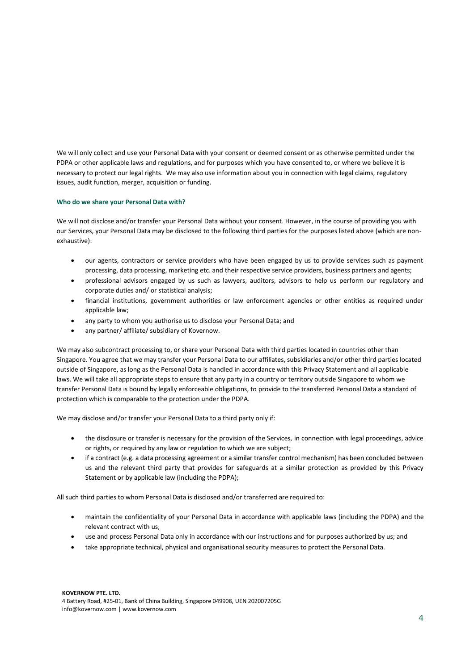We will only collect and use your Personal Data with your consent or deemed consent or as otherwise permitted under the PDPA or other applicable laws and regulations, and for purposes which you have consented to, or where we believe it is necessary to protect our legal rights. We may also use information about you in connection with legal claims, regulatory issues, audit function, merger, acquisition or funding.

# **Who do we share your Personal Data with?**

We will not disclose and/or transfer your Personal Data without your consent. However, in the course of providing you with our Services, your Personal Data may be disclosed to the following third parties for the purposes listed above (which are nonexhaustive):

- our agents, contractors or service providers who have been engaged by us to provide services such as payment processing, data processing, marketing etc. and their respective service providers, business partners and agents;
- professional advisors engaged by us such as lawyers, auditors, advisors to help us perform our regulatory and corporate duties and/ or statistical analysis;
- financial institutions, government authorities or law enforcement agencies or other entities as required under applicable law;
- any party to whom you authorise us to disclose your Personal Data; and
- any partner/ affiliate/ subsidiary of Kovernow.

We may also subcontract processing to, or share your Personal Data with third parties located in countries other than Singapore. You agree that we may transfer your Personal Data to our affiliates, subsidiaries and/or other third parties located outside of Singapore, as long as the Personal Data is handled in accordance with this Privacy Statement and all applicable laws. We will take all appropriate steps to ensure that any party in a country or territory outside Singapore to whom we transfer Personal Data is bound by legally enforceable obligations, to provide to the transferred Personal Data a standard of protection which is comparable to the protection under the PDPA.

We may disclose and/or transfer your Personal Data to a third party only if:

- the disclosure or transfer is necessary for the provision of the Services, in connection with legal proceedings, advice or rights, or required by any law or regulation to which we are subject;
- if a contract (e.g. a data processing agreement or a similar transfer control mechanism) has been concluded between us and the relevant third party that provides for safeguards at a similar protection as provided by this Privacy Statement or by applicable law (including the PDPA);

All such third parties to whom Personal Data is disclosed and/or transferred are required to:

- maintain the confidentiality of your Personal Data in accordance with applicable laws (including the PDPA) and the relevant contract with us;
- use and process Personal Data only in accordance with our instructions and for purposes authorized by us; and
- take appropriate technical, physical and organisational security measures to protect the Personal Data.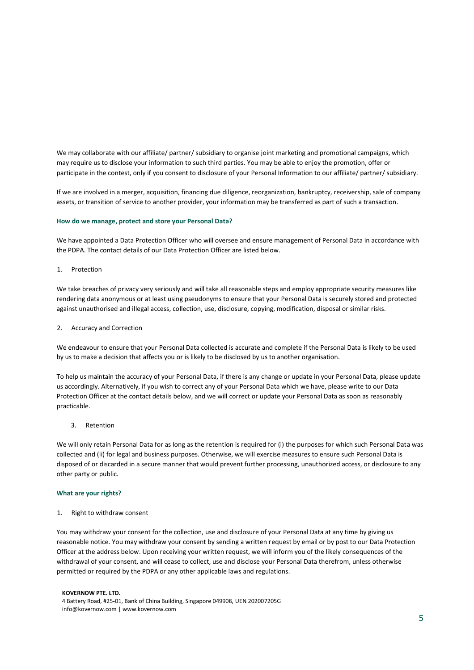We may collaborate with our affiliate/ partner/ subsidiary to organise joint marketing and promotional campaigns, which may require us to disclose your information to such third parties. You may be able to enjoy the promotion, offer or participate in the contest, only if you consent to disclosure of your Personal Information to our affiliate/ partner/ subsidiary.

If we are involved in a merger, acquisition, financing due diligence, reorganization, bankruptcy, receivership, sale of company assets, or transition of service to another provider, your information may be transferred as part of such a transaction.

### **How do we manage, protect and store your Personal Data?**

We have appointed a Data Protection Officer who will oversee and ensure management of Personal Data in accordance with the PDPA. The contact details of our Data Protection Officer are listed below.

1. Protection

We take breaches of privacy very seriously and will take all reasonable steps and employ appropriate security measures like rendering data anonymous or at least using pseudonyms to ensure that your Personal Data is securely stored and protected against unauthorised and illegal access, collection, use, disclosure, copying, modification, disposal or similar risks.

### 2. Accuracy and Correction

We endeavour to ensure that your Personal Data collected is accurate and complete if the Personal Data is likely to be used by us to make a decision that affects you or is likely to be disclosed by us to another organisation.

To help us maintain the accuracy of your Personal Data, if there is any change or update in your Personal Data, please update us accordingly. Alternatively, if you wish to correct any of your Personal Data which we have, please write to our Data Protection Officer at the contact details below, and we will correct or update your Personal Data as soon as reasonably practicable.

3. Retention

We will only retain Personal Data for as long as the retention is required for (i) the purposes for which such Personal Data was collected and (ii) for legal and business purposes. Otherwise, we will exercise measures to ensure such Personal Data is disposed of or discarded in a secure manner that would prevent further processing, unauthorized access, or disclosure to any other party or public.

## **What are your rights?**

#### 1. Right to withdraw consent

You may withdraw your consent for the collection, use and disclosure of your Personal Data at any time by giving us reasonable notice. You may withdraw your consent by sending a written request by email or by post to our Data Protection Officer at the address below. Upon receiving your written request, we will inform you of the likely consequences of the withdrawal of your consent, and will cease to collect, use and disclose your Personal Data therefrom, unless otherwise permitted or required by the PDPA or any other applicable laws and regulations.

#### **KOVERNOW PTE. LTD.**

4 Battery Road, #25-01, Bank of China Building, Singapore 049908, UEN 202007205G info@kovernow.com | www.kovernow.com